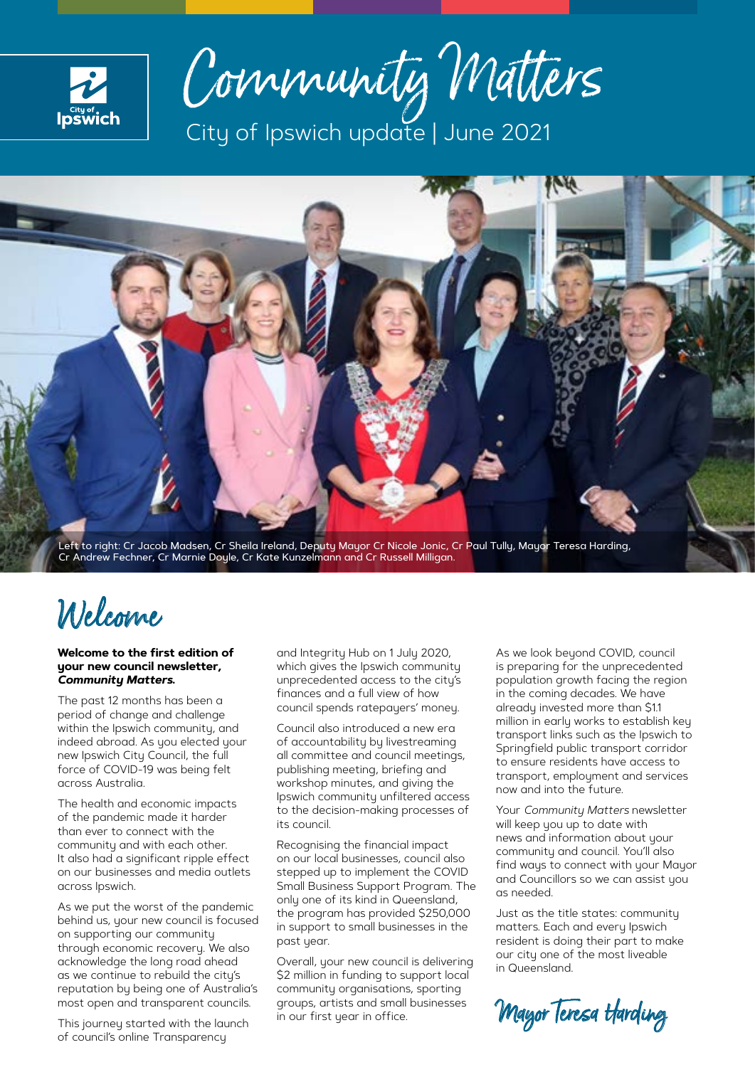

Community Matters City of Ipswich update | June 2021



Cr Andrew Fechner, Cr Marnie Doyle, Cr Kate Kunzelmann and Cr Russell Milligan.

## Welcome

### **Welcome to the first edition of your new council newsletter,**  *Community Matters***.**

The past 12 months has been a period of change and challenge within the Ipswich community, and indeed abroad. As you elected your new Ipswich City Council, the full force of COVID-19 was being felt across Australia.

The health and economic impacts of the pandemic made it harder than ever to connect with the community and with each other. It also had a significant ripple effect on our businesses and media outlets across Ipswich.

As we put the worst of the pandemic behind us, your new council is focused on supporting our community through economic recovery. We also acknowledge the long road ahead as we continue to rebuild the city's reputation by being one of Australia's most open and transparent councils.

This journey started with the launch of council's online Transparency

and Integrity Hub on 1 July 2020, which gives the Ipswich community unprecedented access to the city's finances and a full view of how council spends ratepayers' money.

Council also introduced a new era of accountability by livestreaming all committee and council meetings, publishing meeting, briefing and workshop minutes, and giving the Ipswich community unfiltered access to the decision-making processes of its council.

Recognising the financial impact on our local businesses, council also stepped up to implement the COVID Small Business Support Program. The only one of its kind in Queensland, the program has provided \$250,000 in support to small businesses in the past year.

Overall, your new council is delivering \$2 million in funding to support local community organisations, sporting groups, artists and small businesses in our first year in office.

As we look beyond COVID, council is preparing for the unprecedented population growth facing the region in the coming decades. We have already invested more than \$1.1 million in early works to establish key transport links such as the Ipswich to Springfield public transport corridor to ensure residents have access to transport, employment and services now and into the future.

Your *Community Matters* newsletter will keep you up to date with news and information about your community and council. You'll also find ways to connect with your Mayor and Councillors so we can assist you as needed.

Just as the title states: community matters. Each and every Ipswich resident is doing their part to make our city one of the most liveable in Queensland.

Mayor Teresa Harding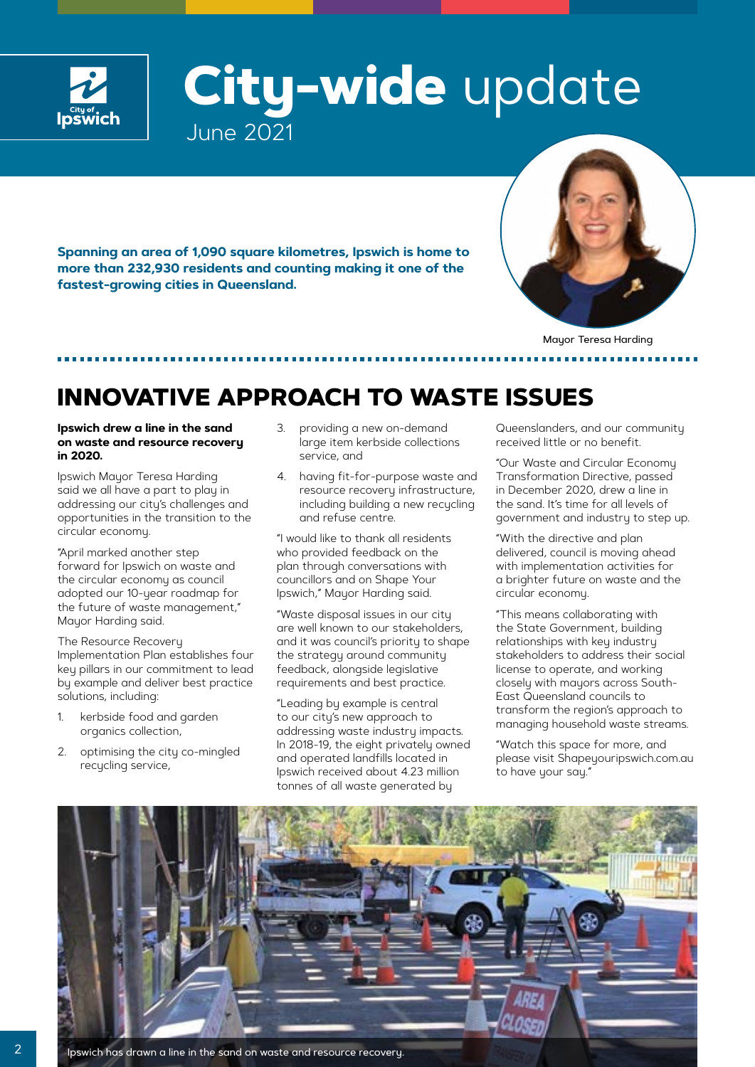

## **City-wide** update June 2021

**Spanning an area of 1,090 square kilometres, Ipswich is home to more than 232,930 residents and counting making it one of the fastest-growing cities in Queensland.** 



Mayor Teresa Harding

## **INNOVATIVE APPROACH TO WASTE ISSUES**

### **Ipswich drew a line in the sand on waste and resource recovery in 2020.**

Ipswich Mayor Teresa Harding said we all have a part to play in addressing our city's challenges and opportunities in the transition to the circular economy.

"April marked another step forward for Ipswich on waste and the circular economy as council adopted our 10-year roadmap for the future of waste management," Mayor Harding said.

The Resource Recovery Implementation Plan establishes four key pillars in our commitment to lead by example and deliver best practice solutions, including:

- 1. kerbside food and garden organics collection,
- 2. optimising the city co-mingled recycling service,
- 3. providing a new on-demand large item kerbside collections service, and
- 4. having fit-for-purpose waste and resource recovery infrastructure, including building a new recycling and refuse centre.

"I would like to thank all residents who provided feedback on the plan through conversations with councillors and on Shape Your Ipswich," Mayor Harding said.

"Waste disposal issues in our city are well known to our stakeholders, and it was council's priority to shape the strategy around community feedback, alongside legislative requirements and best practice.

"Leading by example is central to our city's new approach to addressing waste industry impacts. In 2018-19, the eight privately owned and operated landfills located in Ipswich received about 4.23 million tonnes of all waste generated by

Queenslanders, and our community received little or no benefit.

"Our Waste and Circular Economy Transformation Directive, passed in December 2020, drew a line in the sand. It's time for all levels of government and industry to step up.

"With the directive and plan delivered, council is moving ahead with implementation activities for a brighter future on waste and the circular economy.

"This means collaborating with the State Government, building relationships with key industry stakeholders to address their social license to operate, and working closely with mayors across South-East Queensland councils to transform the region's approach to managing household waste streams.

"Watch this space for more, and please visit Shapeyouripswich.com.au to have your say."

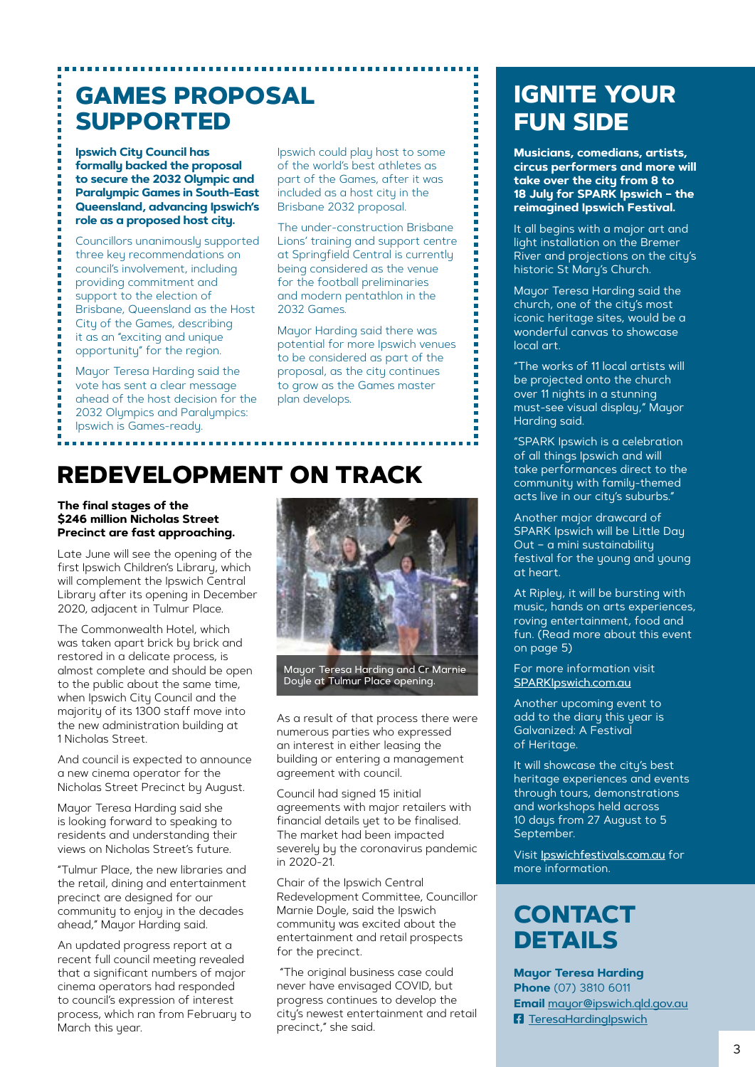### **GAMES PROPOSAL SUPPORTED**

**Ipswich City Council has formally backed the proposal to secure the 2032 Olympic and Paralympic Games in South-East Queensland, advancing Ipswich's role as a proposed host city.**

Councillors unanimously supported three key recommendations on council's involvement, including providing commitment and support to the election of Brisbane, Queensland as the Host City of the Games, describing it as an "exciting and unique opportunity" for the region.

Mayor Teresa Harding said the vote has sent a clear message ahead of the host decision for the 2032 Olympics and Paralympics: Ipswich is Games-ready.

Ipswich could play host to some of the world's best athletes as part of the Games, after it was included as a host city in the Brisbane 2032 proposal.

The under-construction Brisbane Lions' training and support centre at Springfield Central is currently being considered as the venue for the football preliminaries and modern pentathlon in the 2032 Games.

Mayor Harding said there was potential for more Ipswich venues to be considered as part of the proposal, as the city continues to grow as the Games master plan develops.

## **REDEVELOPMENT ON TRACK**

### **The final stages of the \$246 million Nicholas Street Precinct are fast approaching.**

Late June will see the opening of the first Ipswich Children's Library, which will complement the Ipswich Central Library after its opening in December 2020, adjacent in Tulmur Place.

The Commonwealth Hotel, which was taken apart brick by brick and restored in a delicate process, is almost complete and should be open to the public about the same time, when Ipswich City Council and the majority of its 1300 staff move into the new administration building at 1 Nicholas Street.

And council is expected to announce a new cinema operator for the Nicholas Street Precinct by August.

Mayor Teresa Harding said she is looking forward to speaking to residents and understanding their views on Nicholas Street's future.

"Tulmur Place, the new libraries and the retail, dining and entertainment precinct are designed for our community to enjoy in the decades ahead," Mayor Harding said.

An updated progress report at a recent full council meeting revealed that a significant numbers of major cinema operators had responded to council's expression of interest process, which ran from February to March this year.



Mayor Teresa Harding and Cr Marnie Doyle at Tulmur Place opening.

As a result of that process there were numerous parties who expressed an interest in either leasing the building or entering a management agreement with council.

Council had signed 15 initial agreements with major retailers with financial details yet to be finalised. The market had been impacted severely by the coronavirus pandemic in 2020-21.

Chair of the Ipswich Central Redevelopment Committee, Councillor Marnie Doule, said the Ipswich community was excited about the entertainment and retail prospects for the precinct.

 "The original business case could never have envisaged COVID, but progress continues to develop the city's newest entertainment and retail precinct," she said.

## **IGNITE YOUR FUN SIDE**

**Musicians, comedians, artists, circus performers and more will take over the city from 8 to 18 July for SPARK Ipswich – the reimagined Ipswich Festival.**

It all begins with a major art and light installation on the Bremer River and projections on the city's historic St Mary's Church.

Mayor Teresa Harding said the church, one of the city's most iconic heritage sites, would be a wonderful canvas to showcase local art.

"The works of 11 local artists will be projected onto the church over 11 nights in a stunning must-see visual display," Mayor Harding said.

"SPARK Ipswich is a celebration of all things Ipswich and will take performances direct to the community with family-themed acts live in our city's suburbs."

Another major drawcard of SPARK Ipswich will be Little Dau Out – a mini sustainability festival for the young and young at heart.

At Ripley, it will be bursting with music, hands on arts experiences, roving entertainment, food and fun. (Read more about this event on page 5)

For more information visit [SPARKIpswich.com.au](http://SPARKIpswich.com.au)

Another upcoming event to add to the diary this year is Galvanized: A Festival of Heritage.

It will showcase the city's best heritage experiences and events through tours, demonstrations and workshops held across 10 days from 27 August to 5 September.

Visit [Ipswichfestivals.com.au](http://Ipswichfestivals.com.au) for more information.

## **CONTACT DETAILS**

**Mayor Teresa Harding Phone** (07) 3810 6011 **Email** [mayor@ipswich.qld.gov.au](mailto:https://www.facebook.com/TeresaHardingIpswich) **F** [TeresaHardingIpswich](https://www.facebook.com/TeresaHardingIpswich)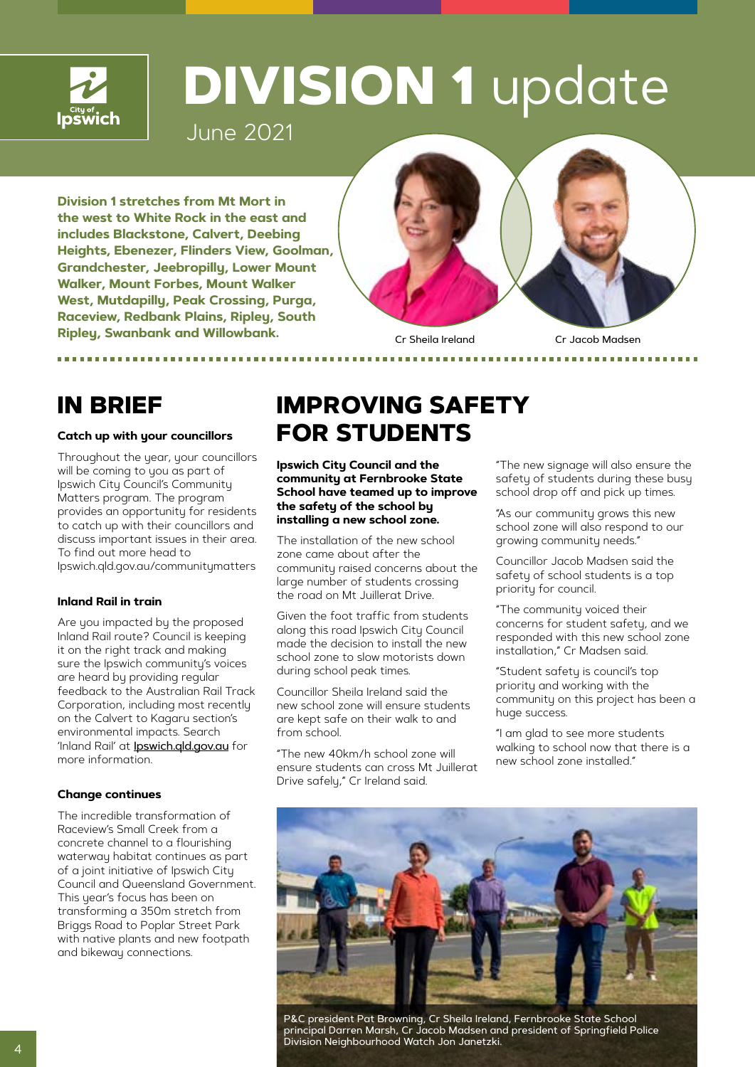

## **DIVISION 1** update

June 2021

**Division 1 stretches from Mt Mort in the west to White Rock in the east and includes Blackstone, Calvert, Deebing Heights, Ebenezer, Flinders View, Goolman, Grandchester, Jeebropilly, Lower Mount Walker, Mount Forbes, Mount Walker West, Mutdapilly, Peak Crossing, Purga, Raceview, Redbank Plains, Ripley, South Ripley, Swanbank and Willowbank.**



Cr Sheila Ireland Cr Jacob Madsen

### **Catch up with your councillors**

Throughout the year, your councillors will be coming to you as part of Ipswich City Council's Community Matters program. The program provides an opportunity for residents to catch up with their councillors and discuss important issues in their area. To find out more head to Ipswich.qld.gov.au/communitymatters

### **Inland Rail in train**

Are you impacted by the proposed Inland Rail route? Council is keeping it on the right track and making sure the Ipswich community's voices are heard by providing regular feedback to the Australian Rail Track Corporation, including most recently on the Calvert to Kagaru section's environmental impacts. Search 'Inland Rail' at **[Ipswich.qld.gov.au](http://Ipswich.qld.gov.au)** for more information.

### **Change continues**

The incredible transformation of Raceview's Small Creek from a concrete channel to a flourishing waterway habitat continues as part of a joint initiative of Ipswich City Council and Queensland Government. This year's focus has been on transforming a 350m stretch from Briggs Road to Poplar Street Park with native plants and new footpath and bikeway connections.

### **IN BRIEF IMPROVING SAFETY FOR STUDENTS**

**Ipswich City Council and the community at Fernbrooke State School have teamed up to improve the safety of the school by installing a new school zone.**

The installation of the new school zone came about after the community raised concerns about the large number of students crossing the road on Mt Juillerat Drive.

Given the foot traffic from students along this road Ipswich City Council made the decision to install the new school zone to slow motorists down during school peak times.

Councillor Sheila Ireland said the new school zone will ensure students are kept safe on their walk to and from school.

"The new 40km/h school zone will ensure students can cross Mt Juillerat Drive safely," Cr Ireland said.

"The new signage will also ensure the safety of students during these busy school drop off and pick up times.

"As our community grows this new school zone will also respond to our growing community needs."

Councillor Jacob Madsen said the safety of school students is a top priority for council.

"The community voiced their concerns for student safety, and we responded with this new school zone installation," Cr Madsen said.

"Student safety is council's top priority and working with the community on this project has been a huge success.

"I am glad to see more students walking to school now that there is a new school zone installed."



P&C president Pat Browning, Cr Sheila Ireland, Fernbrooke State School principal Darren Marsh, Cr Jacob Madsen and president of Springfield Police Division Neighbourhood Watch Jon Janetzki.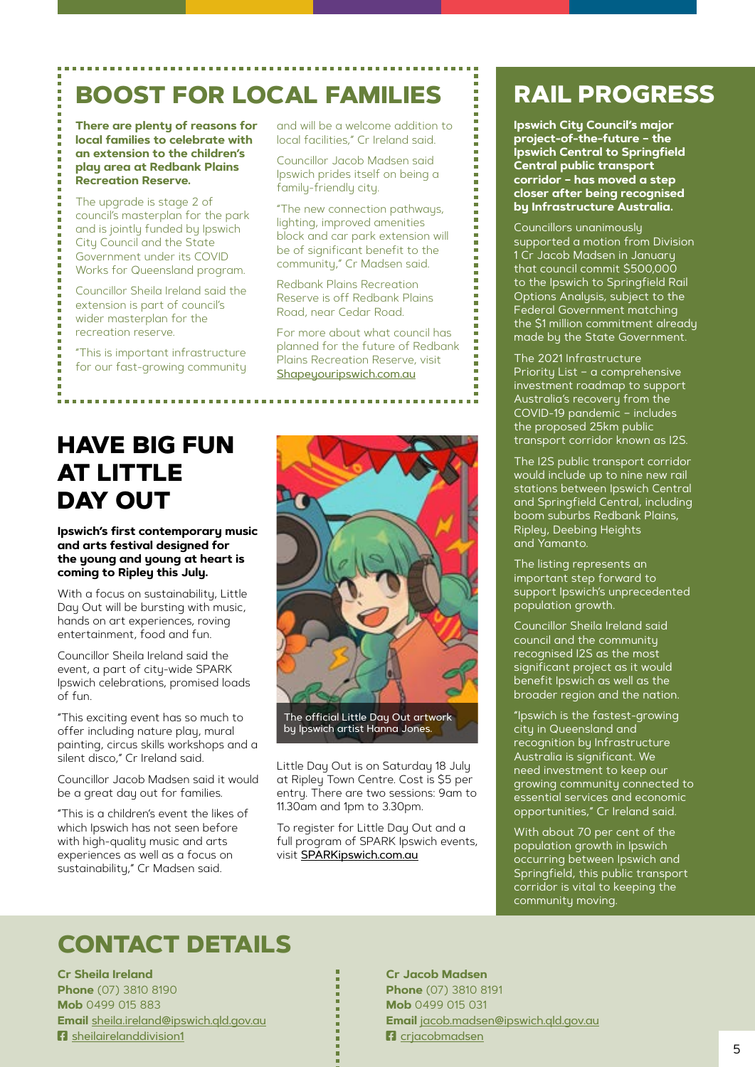## **BOOST FOR LOCAL FAMILIES : RAIL PROGRESS**

**There are plenty of reasons for local families to celebrate with an extension to the children's play area at Redbank Plains Recreation Reserve.**

The upgrade is stage 2 of council's masterplan for the park and is jointly funded by Ipswich City Council and the State Government under its COVID Works for Queensland program.

Councillor Sheila Ireland said the extension is part of council's wider masterplan for the recreation reserve.

"This is important infrastructure for our fast-growing community

and will be a welcome addition to local facilities," Cr Ireland said.

Councillor Jacob Madsen said Ipswich prides itself on being a family-friendly city.

"The new connection pathways, lighting, improved amenities block and car park extension will be of significant benefit to the community," Cr Madsen said.

Redbank Plains Recreation Reserve is off Redbank Plains Road, near Cedar Road.

For more about what council has planned for the future of Redbank Plains Recreation Reserve, visit [Shapeyouripswich.com.au](http://Shapeyouripswich.com.au)

## **HAVE BIG FUN AT LITTLE DAY OUT**

### **Ipswich's first contemporary music and arts festival designed for the young and young at heart is coming to Ripley this July.**

With a focus on sustainability, Little Day Out will be bursting with music, hands on art experiences, roving entertainment, food and fun.

Councillor Sheila Ireland said the event, a part of city-wide SPARK Ipswich celebrations, promised loads of fun.

"This exciting event has so much to offer including nature play, mural painting, circus skills workshops and a silent disco," Cr Ireland said.

Councillor Jacob Madsen said it would be a great day out for families.

"This is a children's event the likes of which Ipswich has not seen before with high-quality music and arts experiences as well as a focus on sustainability," Cr Madsen said.



by Ipswich artist Hanna Jones.

Little Day Out is on Saturday 18 July at Ripley Town Centre. Cost is \$5 per entry. There are two sessions: 9am to 11.30am and 1pm to 3.30pm.

To register for Little Day Out and a full program of SPARK Ipswich events, visit [SPARKipswich.com.au](http://SPARKipswich.com.au)

**Ipswich City Council's major project-of-the-future – the Ipswich Central to Springfield Central public transport corridor – has moved a step closer after being recognised by Infrastructure Australia.**

Councillors unanimously supported a motion from Division 1 Cr Jacob Madsen in January that council commit \$500,000 to the Ipswich to Springfield Rail Options Analysis, subject to the Federal Government matching the \$1 million commitment already made by the State Government.

The 2021 Infrastructure Priority List – a comprehensive investment roadmap to support Australia's recovery from the COVID-19 pandemic – includes the proposed 25km public transport corridor known as I2S.

The I2S public transport corridor would include up to nine new rail stations between Ipswich Central and Springfield Central, including boom suburbs Redbank Plains, Ripley, Deebing Heights and Yamanto.

The listing represents an important step forward to support Ipswich's unprecedented population growth.

Councillor Sheila Ireland said council and the community recognised I2S as the most significant project as it would benefit Ipswich as well as the broader region and the nation.

"Ipswich is the fastest-growing city in Queensland and recognition by Infrastructure Australia is significant. We need investment to keep our growing community connected to essential services and economic opportunities," Cr Ireland said.

With about 70 per cent of the population growth in Ipswich occurring between Ipswich and Springfield, this public transport corridor is vital to keeping the community moving.

## **CONTACT DETAILS**

**Cr Sheila Ireland Phone** (07) 3810 8190 **Mob** 0499 015 883 **Email** [sheila.ireland@ipswich.qld.gov.au](mailto:sheila.ireland@ipswich.qld.gov.au) **R** [sheilairelanddivision1](https://www.facebook.com/sheilairelanddivision1)

**Cr Jacob Madsen Phone** (07) 3810 8191 **Mob** 0499 015 031 **Email** [jacob.madsen@ipswich.qld.gov.au](mailto:jacob.madsen@ipswich.qld.gov.au) **F**acriacobmadsen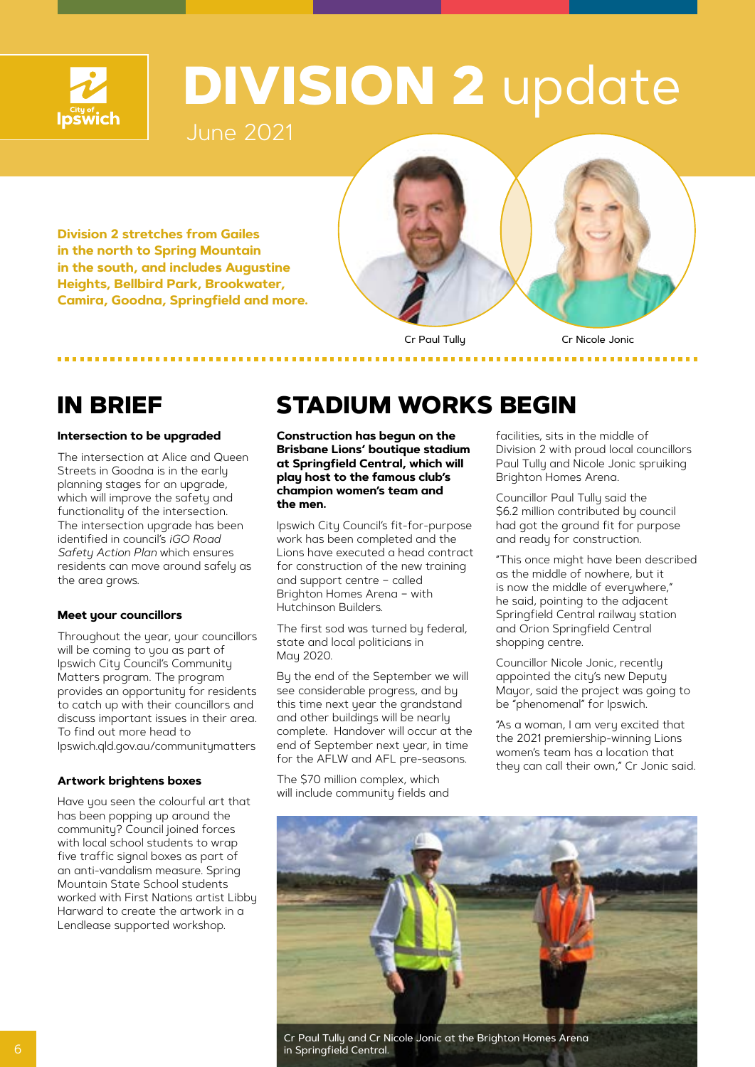

## **DIVISION 2** update

June 2021

**Division 2 stretches from Gailes in the north to Spring Mountain in the south, and includes Augustine Heights, Bellbird Park, Brookwater, Camira, Goodna, Springfield and more.** 



Cr Paul Tully Cr Nicole Jonic

*<u>A A A A A A A</u>* 

### **Intersection to be upgraded**

The intersection at Alice and Queen Streets in Goodna is in the early planning stages for an upgrade, which will improve the safety and functionality of the intersection. The intersection upgrade has been identified in council's *iGO Road Safety Action Plan* which ensures residents can move around safely as the area grows.

### **Meet your councillors**

Throughout the year, your councillors will be coming to you as part of Ipswich City Council's Community Matters program. The program provides an opportunity for residents to catch up with their councillors and discuss important issues in their area. To find out more head to Ipswich.qld.gov.au/communitymatters

### **Artwork brightens boxes**

Have you seen the colourful art that has been popping up around the community? Council joined forces with local school students to wrap five traffic signal boxes as part of an anti-vandalism measure. Spring Mountain State School students worked with First Nations artist Libby Harward to create the artwork in a Lendlease supported workshop.

## **IN BRIEF STADIUM WORKS BEGIN**

**Construction has begun on the Brisbane Lions' boutique stadium at Springfield Central, which will play host to the famous club's champion women's team and the men.**

Ipswich City Council's fit-for-purpose work has been completed and the Lions have executed a head contract for construction of the new training and support centre – called Brighton Homes Arena – with Hutchinson Builders.

The first sod was turned by federal, state and local politicians in May 2020.

By the end of the September we will see considerable progress, and by this time next year the grandstand and other buildings will be nearly complete. Handover will occur at the end of September next year, in time for the AFLW and AFL pre-seasons.

The \$70 million complex, which will include community fields and facilities, sits in the middle of Division 2 with proud local councillors Paul Tully and Nicole Jonic spruiking Brighton Homes Arena.

Councillor Paul Tully said the \$6.2 million contributed by council had got the ground fit for purpose and ready for construction.

"This once might have been described as the middle of nowhere, but it is now the middle of everuwhere." he said, pointing to the adjacent Springfield Central railway station and Orion Springfield Central shopping centre.

Councillor Nicole Jonic, recently appointed the city's new Deputy Mayor, said the project was going to be "phenomenal" for Ipswich.

"As a woman, I am very excited that the 2021 premiership-winning Lions women's team has a location that they can call their own," Cr Jonic said.



Cr Paul Tully and Cr Nicole Jonic at the Brighton Homes Arena in Springfield Central.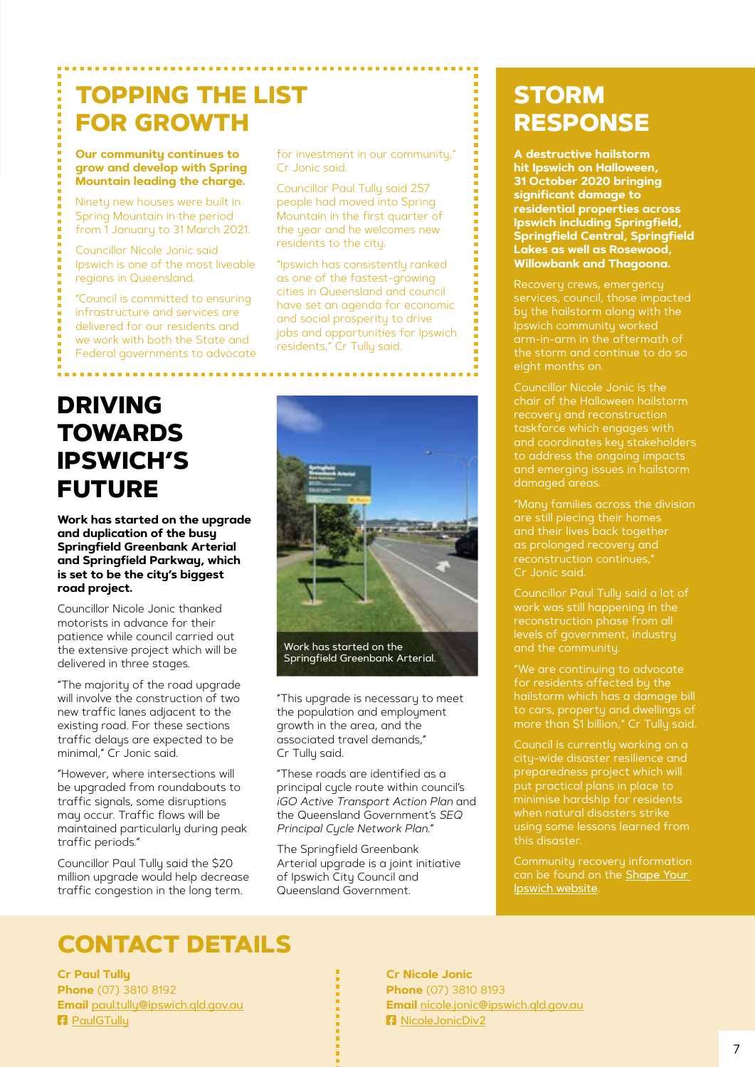## **TOPPING THE LIST FOR GROWTH**

**Our community continues to grow and develop with Spring Mountain leading the charge.**

Ninety new houses were built in Spring Mountain in the period from 1 January to 31 March 2021.

Councillor Nicole Jonic said Ipswich is one of the most liveable regions in Queensland.

"Council is committed to ensuring infrastructure and services are delivered for our residents and we work with both the State and Federal governments to advocate

**DRIVING TOWARDS IPSWICH'S FUTURE** 

**Work has started on the upgrade and duplication of the busy Springfield Greenbank Arterial and Springfield Parkway, which is set to be the city's biggest road project.** 

Councillor Nicole Jonic thanked motorists in advance for their patience while council carried out the extensive project which will be delivered in three stages.

"The majority of the road upgrade will involve the construction of two new traffic lanes adjacent to the existing road. For these sections traffic delays are expected to be minimal," Cr Jonic said.

"However, where intersections will be upgraded from roundabouts to traffic signals, some disruptions may occur. Traffic flows will be maintained particularly during peak traffic periods."

Councillor Paul Tully said the \$20 million upgrade would help decrease traffic congestion in the long term.

for investment in our community," Cr Jonic said.

Councillor Paul Tully said 257 people had moved into Spring Mountain in the first quarter of the year and he welcomes new residents to the city.

"Ipswich has consistently ranked as one of the fastest-growing cities in Queensland and council have set an agenda for economic and social prosperity to drive jobs and opportunities for Ipswich residents," Cr Tully said.



"This upgrade is necessary to meet the population and employment growth in the area, and the associated travel demands," Cr Tully said.

"These roads are identified as a principal cycle route within council's *iGO Active Transport Action Plan* and the Queensland Government's *SEQ Principal Cycle Network Plan*."

The Springfield Greenbank Arterial upgrade is a joint initiative of Ipswich City Council and Queensland Government.

## **STORM RESPONSE**

**A destructive hailstorm hit Ipswich on Halloween, 31 October 2020 bringing significant damage to residential properties across Ipswich including Springfield, Springfield Central, Springfield Lakes as well as Rosewood, Willowbank and Thagoona.**

Recovery crews, emergency arm-in-arm in the aftermath of the storm and continue to do so eight months on.

Councillor Nicole Jonic is the chair of the Halloween hailstorm taskforce which engages with to address the ongoing impacts damaged areas.

and their lives back together as prolonged recovery and reconstruction continues," Cr Jonic said.

Councillor Paul Tully said a lot of work was still happening in the

for residents affected by the

city-wide disaster resilience and preparedness project which will put practical plans in place to minimise hardship for residents using some lessons learned from this disaster.

can be found on the **Shape Your** [Ipswich website](https://www.shapeyouripswich.com.au/).

## **CONTACT DETAILS**

**Cr Paul Tully Phone** (07) 3810 8192 **Email** [paul.tully@ipswich.qld.gov.au](mailto:paul.tully@ipswich.qld.gov.au) **R** [PaulGTully](https://www.facebook.com/PaulGTully)

**Cr Nicole Jonic Phone** (07) 3810 8193 **Email** [nicole.jonic@ipswich.qld.gov.au](mailto:nicole.jonic@ipswich.qld.gov.au) **F**a [NicoleJonicDiv2](https://www.facebook.com/NicoleJonicDiv2)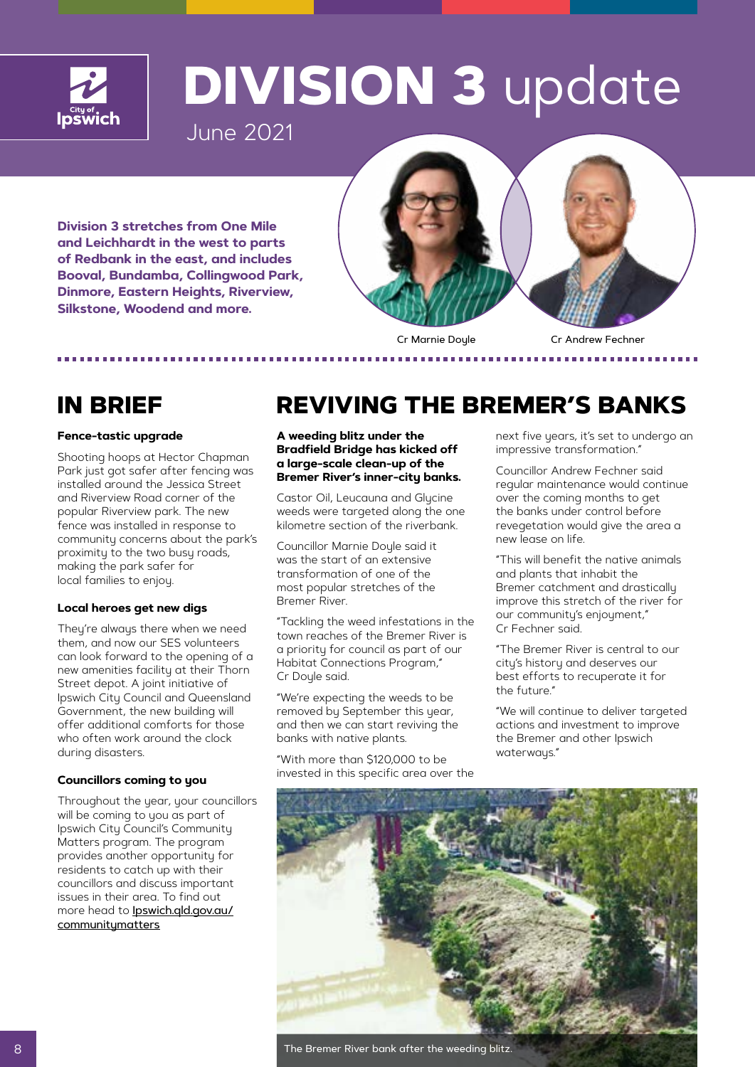

## **DIVISION 3** update

June 2021

**Division 3 stretches from One Mile and Leichhardt in the west to parts of Redbank in the east, and includes Booval, Bundamba, Collingwood Park, Dinmore, Eastern Heights, Riverview, Silkstone, Woodend and more.**



Cr Marnie Doyle Cr Andrew Fechner

### **Fence-tastic upgrade**

Shooting hoops at Hector Chapman Park just got safer after fencing was installed around the Jessica Street and Riverview Road corner of the popular Riverview park. The new fence was installed in response to community concerns about the park's proximity to the two busy roads, making the park safer for local families to enjoy.

### **Local heroes get new digs**

They're always there when we need them, and now our SES volunteers can look forward to the opening of a new amenities facility at their Thorn Street depot. A joint initiative of Ipswich City Council and Queensland Government, the new building will offer additional comforts for those who often work around the clock during disasters.

### **Councillors coming to you**

Throughout the year, your councillors will be coming to you as part of Ipswich City Council's Community Matters program. The program provides another opportunity for residents to catch up with their councillors and discuss important issues in their area. To find out more head to **[Ipswich.qld.gov.au/](http://Ipswich.qld.gov.au/communitymatters)** [communitymatters](http://Ipswich.qld.gov.au/communitymatters)

## **IN BRIEF REVIVING THE BREMER'S BANKS**

**A weeding blitz under the Bradfield Bridge has kicked off a large-scale clean-up of the Bremer River's inner-city banks.**

Castor Oil, Leucauna and Glucine weeds were targeted along the one kilometre section of the riverbank.

Councillor Marnie Doyle said it was the start of an extensive transformation of one of the most popular stretches of the Bremer River.

"Tackling the weed infestations in the town reaches of the Bremer River is a priority for council as part of our Habitat Connections Program," Cr Doyle said.

"We're expecting the weeds to be removed by September this year, and then we can start reviving the banks with native plants.

"With more than \$120,000 to be invested in this specific area over the next five years, it's set to undergo an impressive transformation."

Councillor Andrew Fechner said regular maintenance would continue over the coming months to get the banks under control before revegetation would give the area a new lease on life.

"This will benefit the native animals and plants that inhabit the Bremer catchment and drastically improve this stretch of the river for our community's enjoyment," Cr Fechner said.

"The Bremer River is central to our city's history and deserves our best efforts to recuperate it for the future."

"We will continue to deliver targeted actions and investment to improve the Bremer and other Ipswich waterways."



The Bremer River bank after the weeding blitz.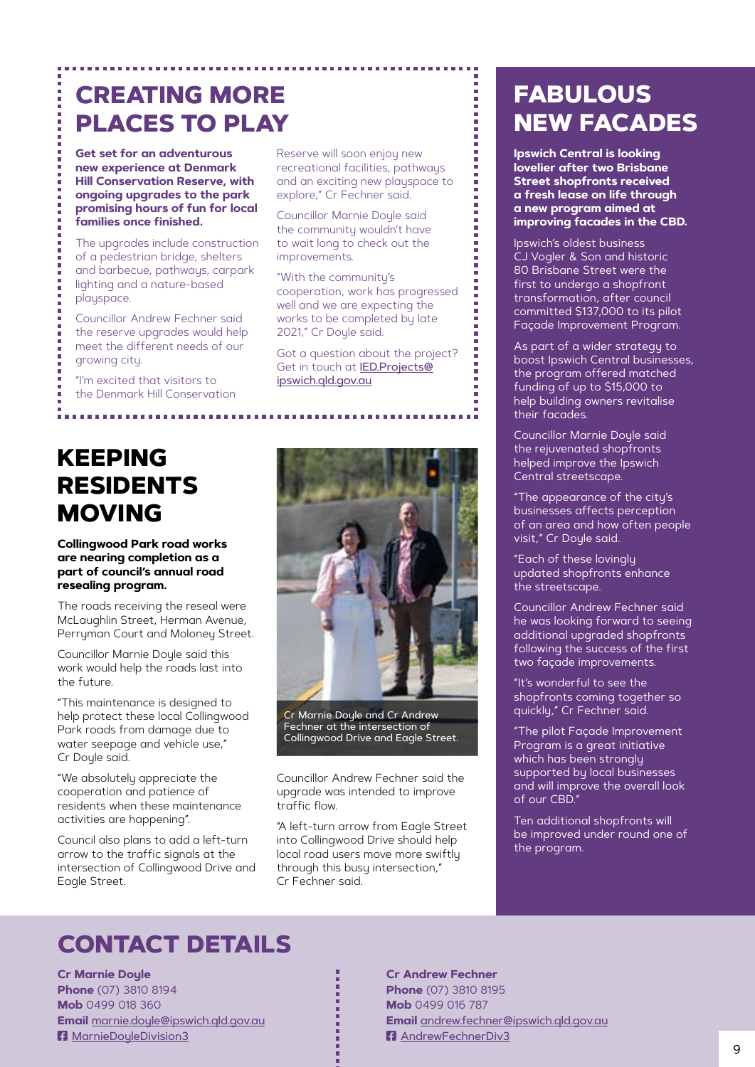## **CREATING MORE PLACES TO PLAY**

**Get set for an adventurous new experience at Denmark Hill Conservation Reserve, with ongoing upgrades to the park promising hours of fun for local families once finished.**

The upgrades include construction of a pedestrian bridge, shelters and barbecue, pathways, carpark lighting and a nature-based playspace.

Councillor Andrew Fechner said the reserve upgrades would help meet the different needs of our growing city.

"I'm excited that visitors to the Denmark Hill Conservation

## **KEEPING RESIDENTS MOVING**

### **Collingwood Park road works are nearing completion as a part of council's annual road resealing program.**

The roads receiving the reseal were McLaughlin Street, Herman Avenue, Perryman Court and Moloney Street.

Councillor Marnie Doyle said this work would help the roads last into the future.

"This maintenance is designed to help protect these local Collingwood Park roads from damage due to water seepage and vehicle use." Cr Doule said.

"We absolutely appreciate the cooperation and patience of residents when these maintenance activities are happening".

Council also plans to add a left-turn arrow to the traffic signals at the intersection of Collingwood Drive and Eagle Street.

Reserve will soon enjoy new recreational facilities, pathways and an exciting new playspace to explore," Cr Fechner said.

Councillor Marnie Doyle said the community wouldn't have to wait long to check out the improvements.

"With the community's cooperation, work has progressed well and we are expecting the works to be completed by late 2021," Cr Doyle said.

Got a question about the project? Get in touch at [IED.Projects@](mailto:IED.Projects@ipswich.qld.gov.au) [ipswich.qld.gov.au](mailto:IED.Projects@ipswich.qld.gov.au)



Cr Marnie Doyle and Cr Andrew Fechner at the intersection of Collingwood Drive and Eagle Street.

Councillor Andrew Fechner said the upgrade was intended to improve traffic flow.

"A left-turn arrow from Eagle Street into Collingwood Drive should help local road users move more swiftly through this busy intersection," Cr Fechner said.

## **FABULOUS NEW FACADES**

**Ipswich Central is looking lovelier after two Brisbane Street shopfronts received a fresh lease on life through a new program aimed at improving facades in the CBD.** 

Ipswich's oldest business CJ Vogler & Son and historic 80 Brisbane Street were the first to undergo a shopfront transformation, after council committed \$137,000 to its pilot Façade Improvement Program.

As part of a wider strategy to boost Ipswich Central businesses, the program offered matched funding of up to \$15,000 to help building owners revitalise their facades.

Councillor Marnie Doyle said the rejuvenated shopfronts helped improve the Ipswich Central streetscape.

"The appearance of the city's businesses affects perception of an area and how often people visit," Cr Doyle said.

"Each of these lovingly updated shopfronts enhance the streetscape.

Councillor Andrew Fechner said he was looking forward to seeing additional upgraded shopfronts following the success of the first two façade improvements.

"It's wonderful to see the shopfronts coming together so quickly," Cr Fechner said.

"The pilot Façade Improvement Program is a great initiative which has been strongly supported by local businesses and will improve the overall look of our CBD."

Ten additional shopfronts will be improved under round one of the program.

## **CONTACT DETAILS**

**Cr Marnie Doyle Phone** (07) 3810 8194 **Mob** 0499 018 360 **Email** [marnie.doyle@ipswich.qld.gov.au](mailto:marnie.doyle@ipswich.qld.gov.au) **F** [MarnieDoyleDivision3](https://www.facebook.com/MarnieDoyleDivision3)

**Cr Andrew Fechner Phone** (07) 3810 8195 **Mob** 0499 016 787 **Email** [andrew.fechner@ipswich.qld.gov.au](mailto:andrew.fechner@ipswich.qld.gov.au) **F**[AndrewFechnerDiv3](https://www.facebook.com/AndrewFechnerDiv3)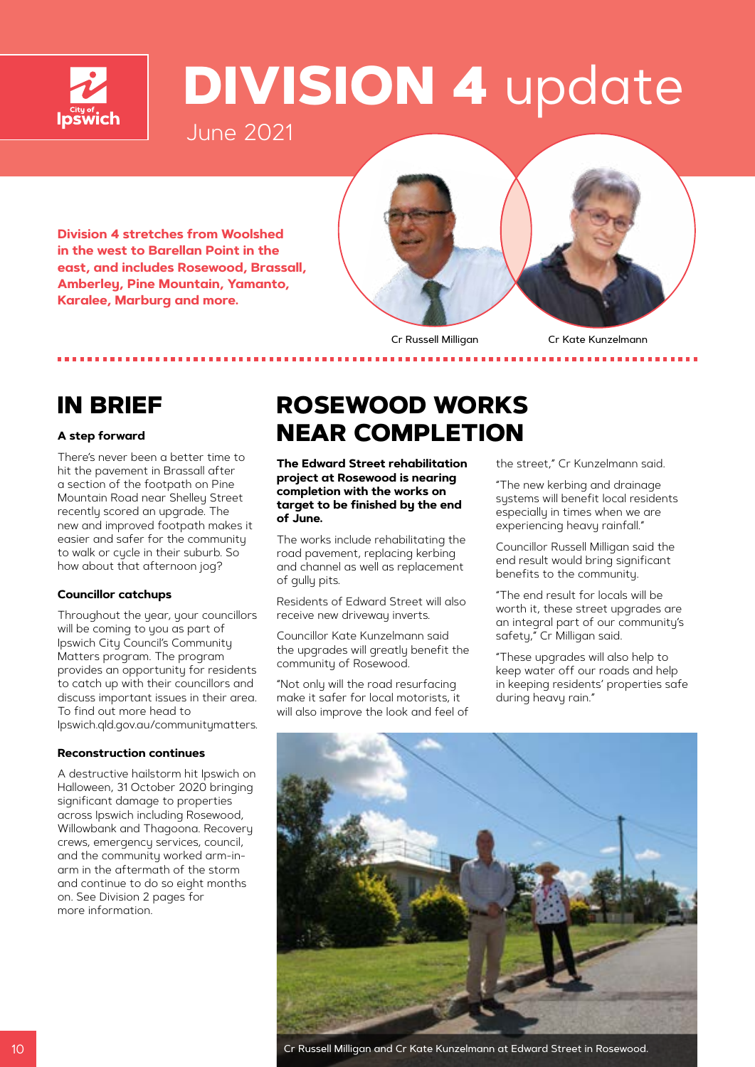

## **DIVISION 4** update

June 2021

**Division 4 stretches from Woolshed in the west to Barellan Point in the east, and includes Rosewood, Brassall, Amberley, Pine Mountain, Yamanto, Karalee, Marburg and more.** 



Cr Russell Milligan Cr Kate Kunzelmann

### **A step forward**

There's never been a better time to hit the pavement in Brassall after a section of the footpath on Pine Mountain Road near Shelley Street recently scored an upgrade. The new and improved footpath makes it easier and safer for the community to walk or cycle in their suburb. So how about that afternoon jog?

### **Councillor catchups**

Throughout the year, your councillors will be coming to you as part of Ipswich City Council's Community Matters program. The program provides an opportunity for residents to catch up with their councillors and discuss important issues in their area. To find out more head to Ipswich.qld.gov.au/communitymatters.

### **Reconstruction continues**

A destructive hailstorm hit Ipswich on Halloween, 31 October 2020 bringing significant damage to properties across Ipswich including Rosewood, Willowbank and Thagoona. Recovery crews, emergency services, council, and the community worked arm-inarm in the aftermath of the storm and continue to do so eight months on. See Division 2 pages for more information.

## **IN BRIEF ROSEWOOD WORKS NEAR COMPLETION**

**The Edward Street rehabilitation project at Rosewood is nearing completion with the works on target to be finished by the end of June.** 

The works include rehabilitating the road pavement, replacing kerbing and channel as well as replacement of gully pits.

Residents of Edward Street will also receive new driveway inverts.

Councillor Kate Kunzelmann said the upgrades will greatly benefit the community of Rosewood.

"Not only will the road resurfacing make it safer for local motorists, it will also improve the look and feel of the street," Cr Kunzelmann said.

"The new kerbing and drainage systems will benefit local residents especially in times when we are experiencing heavy rainfall."

Councillor Russell Milligan said the end result would bring significant benefits to the community.

"The end result for locals will be worth it, these street upgrades are an integral part of our community's safety," Cr Milligan said.

"These upgrades will also help to keep water off our roads and help in keeping residents' properties safe during heavy rain."



Cr Russell Milligan and Cr Kate Kunzelmann at Edward Street in Rosewood.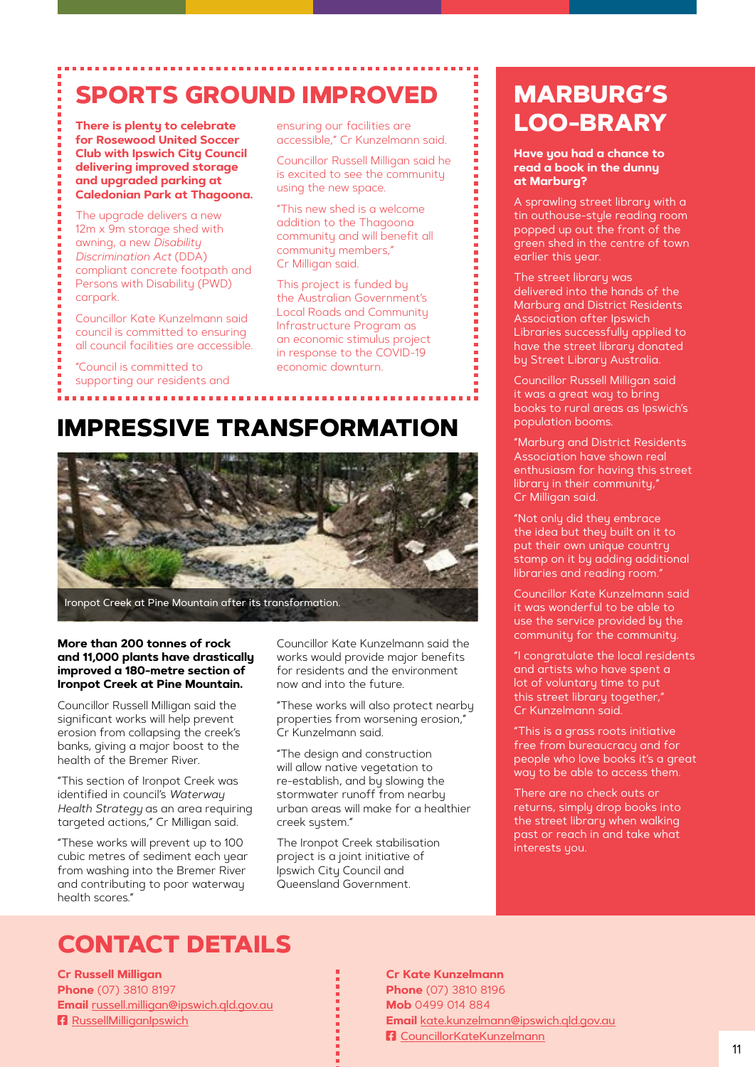## **SPORTS GROUND IMPROVED**

**There is plenty to celebrate for Rosewood United Soccer Club with Ipswich City Council delivering improved storage and upgraded parking at Caledonian Park at Thagoona.**

The upgrade delivers a new 12m x 9m storage shed with awning, a new *Disability Discrimination Act* (DDA) compliant concrete footpath and Persons with Disability (PWD) carpark.

Councillor Kate Kunzelmann said council is committed to ensuring all council facilities are accessible.

"Council is committed to supporting our residents and ensuring our facilities are accessible," Cr Kunzelmann said.

Councillor Russell Milligan said he is excited to see the community using the new space.

"This new shed is a welcome addition to the Thagoona community and will benefit all community members," Cr Milligan said.

This project is funded by the Australian Government's Local Roads and Community Infrastructure Program as an economic stimulus project in response to the COVID-19 economic downturn.

### **IMPRESSIVE TRANSFORMATION**



### **More than 200 tonnes of rock and 11,000 plants have drastically improved a 180-metre section of Ironpot Creek at Pine Mountain.**

Councillor Russell Milligan said the significant works will help prevent erosion from collapsing the creek's banks, giving a major boost to the health of the Bremer River.

"This section of Ironpot Creek was identified in council's *Waterway Health Strategy* as an area requiring targeted actions," Cr Milligan said.

"These works will prevent up to 100 cubic metres of sediment each year from washing into the Bremer River and contributing to poor waterway health scores."

Councillor Kate Kunzelmann said the works would provide major benefits for residents and the environment now and into the future.

"These works will also protect nearby properties from worsening erosion," Cr Kunzelmann said.

"The design and construction will allow native vegetation to re-establish, and by slowing the stormwater runoff from nearby urban areas will make for a healthier creek sustem."

The Ironpot Creek stabilisation project is a joint initiative of Ipswich City Council and Queensland Government.

## **MARBURG'S LOO-BRARY**

### **Have you had a chance to read a book in the dunny at Marburg?**

A sprawling street library with a tin outhouse-style reading room popped up out the front of the green shed in the centre of town earlier this year.

The street libraru was delivered into the hands of the Marburg and District Residents Association after Ipswich Libraries successfully applied to have the street library donated by Street Library Australia.

Councillor Russell Milligan said it was a great way to bring books to rural areas as Ipswich's population booms.

"Marburg and District Residents Association have shown real enthusiasm for having this street library in their community," Cr Milligan said.

"Not only did they embrace the idea but they built on it to put their own unique country stamp on it by adding additional libraries and reading room."

Councillor Kate Kunzelmann said it was wonderful to be able to use the service provided by the community for the community.

"I congratulate the local residents and artists who have spent a lot of voluntary time to put this street library together," Cr Kunzelmann said.

"This is a grass roots initiative free from bureaucracy and for people who love books it's a great way to be able to access them.

There are no check outs or returns, simply drop books into the street library when walking past or reach in and take what interests you.

## **CONTACT DETAILS**

**Cr Russell Milligan Phone** (07) 3810 8197 **Email** [russell.milligan@ipswich.qld.gov.au](mailto:russell.milligan@ipswich.qld.gov.au) **F** [RussellMilliganIpswich](https://www.facebook.com/RussellMilliganIpswich)

**Cr Kate Kunzelmann Phone** (07) 3810 8196 **Mob** 0499 014 884 **Email** [kate.kunzelmann@ipswich.qld.gov.au](mailto:kate.kunzelmann@ipswich.qld.gov.au) F1 [CouncillorKateKunzelmann](https://www.facebook.com/CouncillorKateKunzelmann)